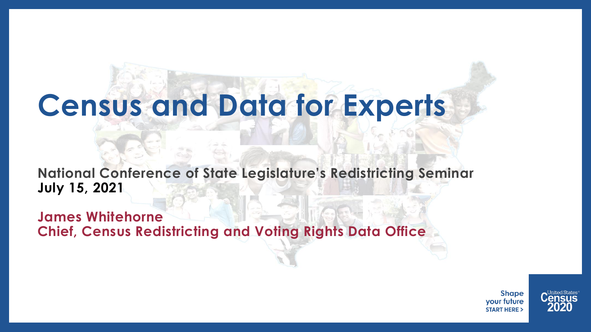# **Census and Data for Experts**

**National Conference of State Legislature's Redistricting Seminar July 15, 2021**

**James Whitehorne Chief, Census Redistricting and Voting Rights Data Office**

> **Shape** your future **START HERE:**

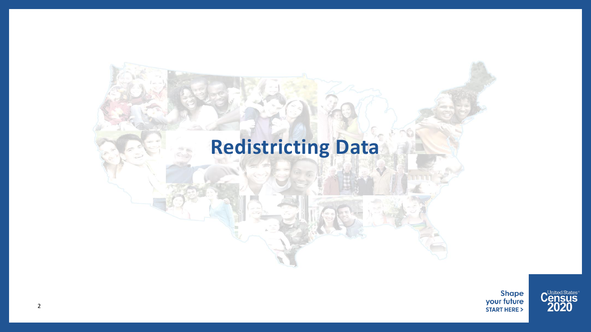## **Redistricting Data**



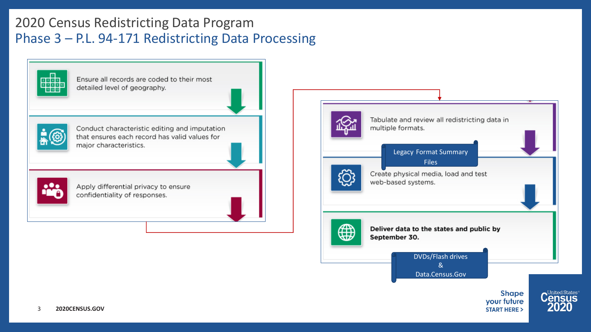## 2020 Census Redistricting Data Program Phase 3 – P.L. 94-171 Redistricting Data Processing

<mark>aada</mark>a

Ensure all records are coded to their most detailed level of geography.



Conduct characteristic editing and imputation that ensures each record has valid values for major characteristics.



Apply differential privacy to ensure confidentiality of responses.

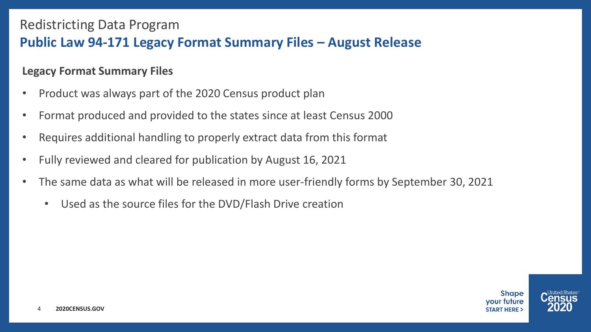## Redistricting Data Program **Public Law 94-171 Legacy Format Summary Files – August Release**

#### **Legacy Format Summary Files**

- Product was always part of the 2020 Census product plan
- Format produced and provided to the states since at least Census 2000
- Requires additional handling to properly extract data from this format
- Fully reviewed and cleared for publication by August 16, 2021
- The same data as what will be released in more user-friendly forms by September 30, 2021
	- Used as the source files for the DVD/Flash Drive creation

**Shape** vour future **START HERE :** 

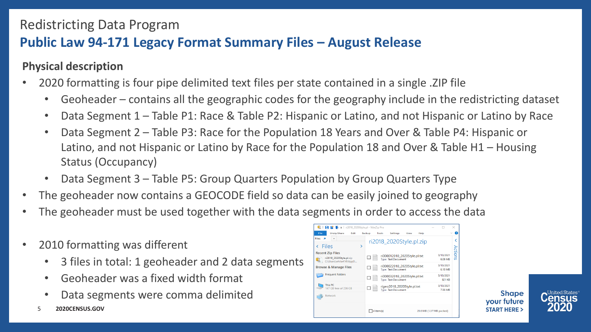## **Public Law 94-171 Legacy Format Summary Files – August Release**

#### **Physical description**

- 2020 formatting is four pipe delimited text files per state contained in a single .ZIP file
	- Geoheader contains all the geographic codes for the geography include in the redistricting dataset
	- Data Segment 1 Table P1: Race & Table P2: Hispanic or Latino, and not Hispanic or Latino by Race
	- Data Segment 2 Table P3: Race for the Population 18 Years and Over & Table P4: Hispanic or Latino, and not Hispanic or Latino by Race for the Population 18 and Over & Table H1 – Housing Status (Occupancy)
	- Data Segment 3 Table P5: Group Quarters Population by Group Quarters Type
- The geoheader now contains a GEOCODE field so data can be easily joined to geography
- The geoheader must be used together with the data segments in order to access the data
- 2010 formatting was different
	- 3 files in total: 1 geoheader and 2 data segments
	- Geoheader was a fixed width format
	- Data segments were comma delimited
	- 5 **2020CENSUS.GOV**





**Shape** 

your future **START HERE >**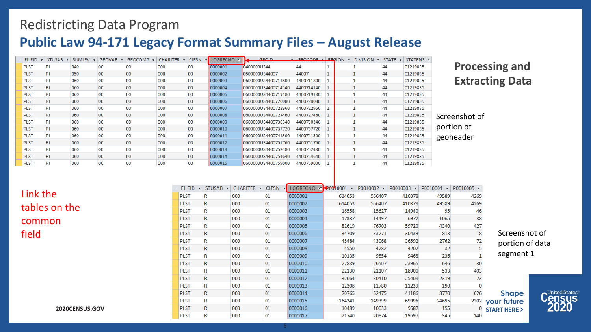### **Public Law 94-171 Legacy Format Summary Files – August Release**

PLST

PLST

 $RI$ 

RI

000

000

| <b>FILEID</b><br>$\mathbf{v}$ | <b>STUSAB</b> | <b>SUMLEV</b> | GEOVAR | <b>GEOCOMP</b> | <b>CHARITER</b> | <b>CIFSN</b> | → LOGRECNO →1 | <b>GEOID</b>        | $\frac{1}{2}$ GEOCODE $\frac{1}{2}$ REGION | <b>DIVISION</b><br>$\mathcal{L}$ | $STATE \tightharpoondown$ | STATENS - |
|-------------------------------|---------------|---------------|--------|----------------|-----------------|--------------|---------------|---------------------|--------------------------------------------|----------------------------------|---------------------------|-----------|
| <b>PLST</b>                   | RI            | 040           | 00     | 00             | 000             | 00           | 0000001       | 0400000US44         | 44                                         |                                  | 44                        | 01219835  |
| <b>PLST</b>                   | RI            | 050           | $00\,$ | 00             | 000             | 00           | 0000002       | 0500000US44007      | 44007                                      |                                  | 44                        | 01219835  |
| <b>PLST</b>                   | RI            | 060           | 00     | 00             | 000             | 00           | 0000003       | 0600000US4400711800 | 4400711800                                 |                                  | 44                        | 01219835  |
| <b>PLST</b>                   | <b>RI</b>     | 060           | $00\,$ | $00\,$         | 000             | 00           | 0000004       | 0600000US4400714140 | 4400714140                                 |                                  | 44                        | 01219835  |
| <b>PLST</b>                   | RI            | 060           | 00     | 00             | 000             | 00           | 0000005       | 0600000US4400719180 | 4400719180                                 |                                  | 44                        | 01219835  |
| <b>PLST</b>                   | RI            | 060           | $00\,$ | 00             | 000             | 00           | 0000006       | 0600000US4400720080 | 4400720080                                 |                                  | 44                        | 01219835  |
| <b>PLST</b>                   | RI            | 060           | $00\,$ | 00             | 000             | 00           | 0000007       | 0600000US4400722960 | 4400722960                                 |                                  | 44                        | 01219835  |
| <b>PLST</b>                   | RI            | 060           | $00\,$ | 00             | 000             | 00           | 0000008       | 0600000US4400727460 | 4400727460                                 |                                  | 44                        | 01219835  |
| <b>PLST</b>                   | RI            | 060           | 00     | 00             | 000             | 00           | 0000009       | 0600000US4400730340 | 4400730340                                 |                                  | 44                        | 01219835  |
| <b>PLST</b>                   | <b>RI</b>     | 060           | 00     | 00             | 000             | 00           | 0000010       | 0600000US4400737720 | 4400737720                                 |                                  | 44                        | 01219835  |
| <b>PLST</b>                   | <b>RI</b>     | 060           | 00     | 00             | 000             | 00           | 0000011       | 0600000US4400741500 | 4400741500                                 |                                  | 44                        | 01219835  |
| <b>PLST</b>                   | <b>RI</b>     | 060           | 00     | 00             | 000             | 00           | 0000012       | 0600000US4400751760 | 4400751760                                 |                                  | 44                        | 01219835  |
| <b>PLST</b>                   | RI            | 060           | $00\,$ | 00             | 000             | 00           | 0000013       | 0600000US4400752480 | 4400752480                                 |                                  | 44                        | 01219835  |
| <b>PLST</b>                   | <b>RI</b>     | 060           | $00\,$ | 00             | 000             | 00           | 0000014       | 0600000US4400754640 | 4400754640                                 |                                  | 44                        | 01219835  |
| <b>PLST</b>                   | RI            | 060           | 00     | 00             | 000             | 00           | 0000015       | 0600000US4400759000 | 4400759000                                 |                                  | 44                        | 01219835  |

#### **Processing and Extracting Data**

nshot of  $p$ n of eader

Taggages Taggages

155

345

|               | <b>FILEID</b> | $STUSAB -$ | $CHARITER$ $\rightarrow$ | <b>CIFSN</b> | → LOGRECNO | $\sqrt{100010001}$ | P0010002 | P0010003 | $P0010004 - P0010005 -$ |      |              |
|---------------|---------------|------------|--------------------------|--------------|------------|--------------------|----------|----------|-------------------------|------|--------------|
| Link the      | <b>PLST</b>   | RI         | 000                      | 01           | 0000001    | 614053             | 566407   | 410378   | 49589                   | 4269 |              |
|               | <b>PLST</b>   | RI         | 000                      | 01           | 0000002    | 614053             | 566407   | 410378   | 49589                   | 4269 |              |
| tables on the | <b>PLST</b>   | RI         | 000                      | 01           | 0000003    | 16558              | 15627    | 14940    | 95                      | 46   |              |
| common        | <b>PLST</b>   | RI         | 000                      | 01           | 0000004    | 17337              | 14497    | 6972     | 1065                    | 38   |              |
|               | <b>PLST</b>   | RI         | 000                      | 01           | 0000005    | 82619              | 76703    | 59720    | 4340                    | 427  |              |
| field         | <b>PLST</b>   | RI         | 000                      | 01           | 0000006    | 34709              | 33271    | 30439    | 813                     | 18   | Screens      |
|               | <b>PLST</b>   | RI         | 000                      | 01           | 0000007    | 45484              | 43068    | 36592    | 2762                    | 72   | portion      |
|               | <b>PLST</b>   | RI.        | 000                      | 01           | 0000008    | 4550               | 4282     | 4202     | 32                      |      |              |
|               | <b>PLST</b>   | RI         | 000                      | 01           | 0000009    | 10135              | 9854     | 9468     | 236                     |      | segmen       |
|               | <b>PLST</b>   | RI         | 000                      | 01           | 0000010    | 27889              | 26507    | 23965    | 646                     | 30   |              |
|               | <b>PLST</b>   | RI         | 000                      | 01           | 0000011    | 22130              | 21107    | 18900    | 533                     | 403  |              |
|               | <b>PLST</b>   | RI         | 000                      | 01           | 0000012    | 32664              | 30410    | 25408    | 2319                    | 73   |              |
|               | <b>PLST</b>   | RI         | 000                      | 01           | 0000013    | 12308              | 11780    | 11239    | 190                     |      |              |
|               | <b>PLST</b>   | RI         | 000                      | 01           | 0000014    | 70765              | 62475    | 41186    | 8770                    | 626  | <b>Shape</b> |
|               | <b>PLST</b>   | RI         | 000                      | 01           | 0000015    | 164341             | 149399   | 69996    | 24695                   | 2302 | your future  |

**Contract Contract** 

10489

21740

10033

20874

9687

19697

1. . . . . . . . . . . .

Screenshot of portion of data segment 1

 $\frac{0}{1}$  START HERE >

140



**2020CENSUS.GOV**

01

01

0000017

0000016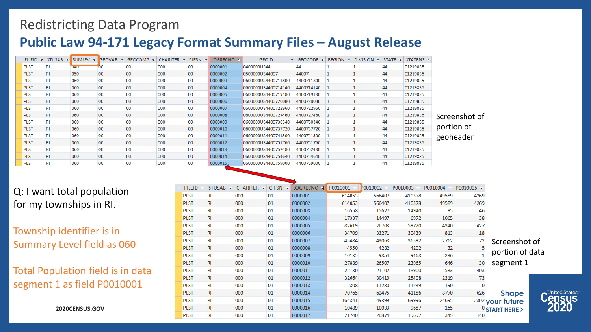## **Public Law 94-171 Legacy Format Summary Files – August Release**

| <b>FILEID</b> |     | STUSAB - SUMLEV - | <b>GEOVAR</b> | GEOCOMP | CHARITER - |                 | CIFSN - LOGRECNO -1 | <b>GEOID</b>        | $\cdot$ GEOCODE $\cdot$ | $REGION - DIVISION -$ |    | $STATE - STATENS -$ |               |
|---------------|-----|-------------------|---------------|---------|------------|-----------------|---------------------|---------------------|-------------------------|-----------------------|----|---------------------|---------------|
| <b>PLST</b>   | RI  | U4U               |               | 00      | 000        | 00              | 0000001             | 0400000US44         | 44                      |                       | 44 | 01219835            |               |
| <b>PLST</b>   | RI  | 050               | 00            | 00      | 000        | $00\,$          | 0000002             | 0500000US44007      | 44007                   |                       | 44 | 01219835            |               |
| <b>PLST</b>   |     | 060               | 00            | 00      | 000        | $00\,$          | 0000003             | 0600000US4400711800 | 4400711800 1            |                       | 44 | 01219835            |               |
| <b>PLST</b>   | RI  | 060               | 00            | 00      | 000        | 00 <sub>o</sub> | 0000004             | 0600000US4400714140 | 4400714140 1            |                       | 44 | 01219835            |               |
| <b>PLST</b>   |     | 060               | 00            | 00      | 000        | 00              | 0000005             | 0600000US4400719180 | 4400719180 1            |                       | 44 | 01219835            |               |
| <b>PLST</b>   | RI  | 060               | 00            | 00      | 000        | 00              | 0000006             | 0600000US4400720080 | 4400720080 1            |                       | 44 | 01219835            |               |
| <b>PLST</b>   |     | 060               | 00            | 00      | 000        | 00              | 0000007             | 0600000US4400722960 | 4400722960 1            |                       | 44 | 01219835            |               |
| <b>PLST</b>   | RI  | 060               | 00            | 00      | 000        | $00\,$          | 0000008             | 0600000US4400727460 | 4400727460 1            |                       | 44 | 01219835            | Screenshot of |
| <b>PLST</b>   | RI  | 060               | 00            | 00      | 000        | $00\,$          | 0000009             | 0600000US4400730340 | 4400730340 1            |                       | 44 | 01219835            |               |
| <b>PLST</b>   | RI  | 060               | $00\,$        | 00      | 000        | $00\,$          | 0000010             | 0600000US4400737720 | 4400737720 1            |                       | 44 | 01219835            | portion of    |
| <b>PLST</b>   |     | 060               | 00            | 00      | 000        | 00              | 0000011             | 0600000US4400741500 | 4400741500 1            |                       | 44 | 01219835            | geoheader     |
| <b>PLST</b>   | RI  | 060               | 00            | 00      | 000        | 00              | 0000012             | 0600000US4400751760 | 4400751760 1            |                       | 44 | 01219835            |               |
| <b>PLST</b>   |     | 060               | 00            | 00      | 000        | 00              | 0000013             | 0600000US4400752480 | 4400752480 1            |                       | 44 | 01219835            |               |
| <b>PLST</b>   | RI. | 060               | $00\,$        | 00      | 000        | 00 <sub>o</sub> | 0000014             | 0600000US4400754640 | 4400754640 1            |                       | 44 | 01219835            |               |
| <b>PLST</b>   |     | 060               | 00            | 00      | 000        | 00              | 0000015             | 0600000US4400759000 | 4400759000 1            |                       | 44 | 01219835            |               |
|               |     |                   |               |         |            |                 |                     |                     |                         |                       |    |                     |               |

#### Q: I want total population for my townships in RI.

Township identifier is in Summary Level field as 060

Total Population field is in data segment 1 as field P0010001

|                            | P0010005 - | P0010004 - | P0010003 | $0010002 -$ | P0010001<br>$\mathbf{v}$ | LOGRECNO <sup>+</sup> | <b>CIFSN</b> | <b>CHARITER</b><br>$\mathbf{v}$ | STUSAB -  | <b>FILEID</b> |  |
|----------------------------|------------|------------|----------|-------------|--------------------------|-----------------------|--------------|---------------------------------|-----------|---------------|--|
|                            | 4269       | 49589      | 410378   | 566407      | 614053                   | 0000001               | 01           | 000                             | RI        | <b>PLST</b>   |  |
|                            | 4269       | 49589      | 410378   | 566407      | 614053                   | 0000002               | 01           | 000                             | <b>RI</b> | <b>PLST</b>   |  |
|                            | 46         | 95         | 14940    | 15627       | 16558                    | 0000003               | 01           | 000                             | RI        | <b>PLST</b>   |  |
|                            | 38         | 1065       | 6972     | 14497       | 17337                    | 0000004               | 01           | 000                             | RI        | <b>PLST</b>   |  |
|                            | 427        | 4340       | 59720    | 76703       | 82619                    | 0000005               | 01           | 000                             | RI        | <b>PLST</b>   |  |
|                            | 18         | 813        | 30439    | 33271       | 34709                    | 0000006               | 01           | 000                             | RI        | <b>PLST</b>   |  |
| Screensh                   | 72         | 2762       | 36592    | 43068       | 45484                    | 0000007               | 01           | 000                             | RI        | <b>PLST</b>   |  |
|                            |            | 32         | 4202     | 4282        | 4550                     | 0000008               | 01           | 000                             | <b>RI</b> | <b>PLST</b>   |  |
| portion o                  |            | 236        | 9468     | 9854        | 10135                    | 0000009               | 01           | 000                             | RI        | <b>PLST</b>   |  |
| segment                    | 30         | 646        | 23965    | 26507       | 27889                    | 0000010               | 01           | 000                             | <b>RI</b> | <b>PLST</b>   |  |
|                            | 403        | 533        | 18900    | 21107       | 22130                    | 0000011               | 01           | 000                             | RI        | <b>PLST</b>   |  |
|                            | 73         | 2319       | 25408    | 30410       | 32664                    | 0000012               | 01           | 000                             | RI        | <b>PLST</b>   |  |
|                            |            | 190        | 11239    | 11780       | 12308                    | 0000013               | 01           | 000                             | RI        | <b>PLST</b>   |  |
| <b>Shape</b>               | 626        | 8770       | 41186    | 62475       | 70765                    | 0000014               | 01           | 000                             | <b>RI</b> | <b>PLST</b>   |  |
| 2302 your future           |            | 24695      | 69996    | 149399      | 164341                   | 0000015               | 01           | 000                             | RI        | <b>PLST</b>   |  |
| $\frac{0}{2}$ START HERE > |            | 155        | 9687     | 10033       | 10489                    | 0000016               | 01           | 000                             | <b>RI</b> | <b>PLST</b>   |  |
|                            | 140        | 345        | 19697    | 20874       | 21740                    | 0000017               | 01           | 000                             | RI        | <b>PLST</b>   |  |

Screenshot of portion of data segment 1



**2020CENSUS.GOV**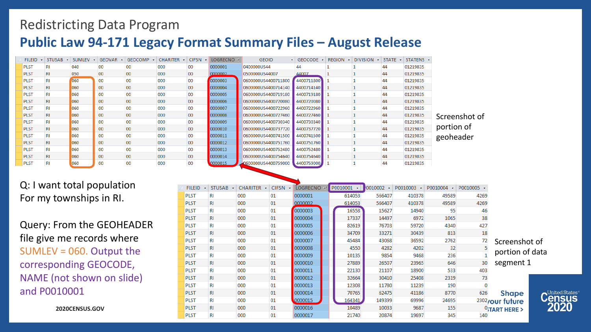## **Public Law 94-171 Legacy Format Summary Files – August Release**

| <b>FILEID</b> | $STUSAB -$ | SUMLEV | <b>GEOVAR</b>   | GEOCOMP +       | <b>CHARITER</b> | <b>CIFSN</b> | ▼ LOGRECNO न | <b>GEOID</b>        | $\cdot$ GEOCODE $\cdot$ | <b>REGION</b> | $\cdot$ DIVISION $\cdot$ STATE $\cdot$ |    | STATENS - |               |
|---------------|------------|--------|-----------------|-----------------|-----------------|--------------|--------------|---------------------|-------------------------|---------------|----------------------------------------|----|-----------|---------------|
| <b>PLST</b>   | RI         | 040    | 00              | 00              | 000             | 00           | 0000001      | 0400000US44         |                         |               |                                        | 44 | 01219835  |               |
| <b>PLST</b>   | RI.        | 050    | $00\,$          | 00 <sup>°</sup> | 000             | $00\,$       | 0000002      | 0500000US44007      | 44007                   |               |                                        | 44 | 01219835  |               |
| <b>PLST</b>   | RI         | 060    | 00              | 00              | 000             | 00           | 0000003      | 0600000US4400711800 | 4400711800              |               |                                        | 44 | 01219835  |               |
| <b>PLST</b>   | RI         | 060    | 00              | $00\,$          | 000             | 00           | 0000004      | 0600000US4400714140 | 4400714140              |               |                                        | 44 | 01219835  |               |
| <b>PLST</b>   | RI         | 060    | 00              | 00              | 000             | 00           | 0000005      | 0600000US4400719180 | 4400719180              |               |                                        | 44 | 01219835  |               |
| <b>PLST</b>   | RI.        | 060    | 00              | $00\,$          | 000             | $00\,$       | 0000006      | 0600000US4400720080 | 4400720080              |               |                                        | 44 | 01219835  |               |
| <b>PLST</b>   | RI         | 060    | 00              | 00              | 000             | 00           | 0000007      | 0600000US4400722960 | 4400722960              |               |                                        | 44 | 01219835  |               |
| <b>PLST</b>   | RI         | 060    | $00\,$          | 00              | 000             | 00           | 0000008      | 0600000US4400727460 | 4400727460              |               |                                        | 44 | 01219835  | Screenshot of |
| <b>PLST</b>   | RI         | 060    | 00              | 00              | 000             | $00\,$       | 0000009      | 0600000US4400730340 | 4400730340              |               |                                        | 44 | 01219835  |               |
| <b>PLST</b>   | RI         | 060    | 00              | 00 <sub>o</sub> | 000             | $00\,$       | 0000010      | 0600000US4400737720 | 4400737720              |               |                                        | 44 | 01219835  | portion of    |
| <b>PLST</b>   | RI         | 060    | OO.             | 00              | 000             | 00           | 0000011      | 0600000US4400741500 | 4400741500              |               |                                        | 44 | 01219835  | geoheader     |
| <b>PLST</b>   | <b>RI</b>  | 060    | 00              | $00\,$          | 000             | $00\,$       | 0000012      | 0600000US4400751760 | 4400751760              |               |                                        | 44 | 01219835  |               |
| <b>PLST</b>   | RI         | 060    | 00              | 00              | 000             | 00           | 0000013      | 0600000US4400752480 | 4400752480              |               |                                        | 44 | 01219835  |               |
| <b>PLST</b>   | RI         | 060    | 00 <sup>°</sup> | $00\,$          | 000             | $00\,$       | 0000014      | 0600000US4400754640 | 4400754640              |               |                                        | 44 | 01219835  |               |
| <b>PLST</b>   | RI         | 060    | 00              | 00              | 000             | $00\,$       | 0000015      | 2600000US4400759000 | 4400759000              |               |                                        | 44 | 01219835  |               |

Q: I want total population For my townships in RI.

Query: From the GEOHEADER file give me records where SUMLEV = 060. Output the corresponding GEOCODE, NAME (not shown on slide) and P0010001

| FILEID +    | STUSAB +  | <b>CHARITER</b> | <b>CIFSN</b> | LOGRECNO +1 | P0010001<br>$\mathbf{v}$ | 0010002 | P0010003 | P0010004 - | P0010005 - |                   |
|-------------|-----------|-----------------|--------------|-------------|--------------------------|---------|----------|------------|------------|-------------------|
| <b>PLST</b> | RI        | 000             | 01           | 0000001     | 614053                   | 566407  | 410378   | 49589      | 4269       |                   |
| <b>PLST</b> | RI        | 000             | 01           | 0000002     | 614053                   | 566407  | 410378   | 49589      | 4269       |                   |
| <b>PLST</b> | RI        | 000             | 01           | 0000003     | 16558                    | 15627   | 14940    | 95         | 46         |                   |
| <b>PLST</b> | <b>RI</b> | 000             | 01           | 0000004     | 17337                    | 14497   | 6972     | 1065       | 38         |                   |
| <b>PLST</b> | RI        | 000             | 01           | 0000005     | 82619                    | 76703   | 59720    | 4340       | 427        |                   |
| <b>PLST</b> | RI        | 000             | 01           | 0000006     | 34709                    | 33271   | 30439    | 813        | 18         |                   |
| <b>PLST</b> | RI        | 000             | 01           | 0000007     | 45484                    | 43068   | 36592    | 2762       | 72         | Screensh          |
| <b>PLST</b> | <b>RI</b> | 000             | 01           | 0000008     | 4550                     | 4282    | 4202     | 32         |            |                   |
| <b>PLST</b> | RI        | 000             | 01           | 0000009     | 10135                    | 9854    | 9468     | 236        |            | portion           |
| <b>PLST</b> | <b>RI</b> | 000             | 01           | 0000010     | 27889                    | 26507   | 23965    | 646        | 30         | segment           |
| <b>PLST</b> | RI        | 000             | 01           | 0000011     | 22130                    | 21107   | 18900    | 533        | 403        |                   |
| <b>PLST</b> | RI        | 000             | 01           | 0000012     | 32664                    | 30410   | 25408    | 2319       | 73         |                   |
| <b>PLST</b> | RI        | 000             | 01           | 0000013     | 12308                    | 11780   | 11239    | 190        |            |                   |
| <b>PLST</b> | <b>RI</b> | 000             | 01           | 0000014     | 70765                    | 62475   | 41186    | 8770       | 626        | <b>Shape</b>      |
| <b>PLST</b> | RI        | 000             | 01           | 0000015     | 164341                   | 149399  | 69996    | 24695      |            | 2302/our future   |
| <b>PLST</b> | <b>RI</b> | 000             | 01           | 0000016     | 10489                    | 10033   | 9687     | 155        |            | $^0$ ;TART HERE > |
| <b>PLST</b> | RI        | 000             | 01           | 0000017     | 21740                    | 20874   | 19697    | 345        | 140        |                   |

Screenshot of portion of data segment 1



**2020CENSUS.GOV**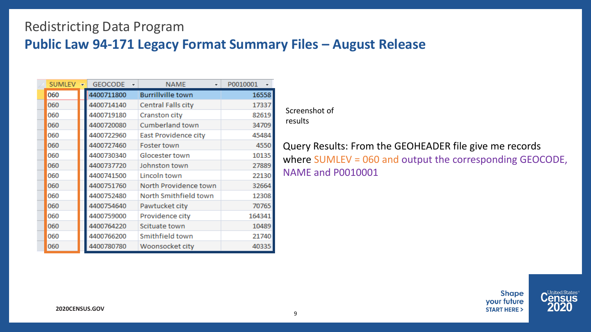### **Public Law 94-171 Legacy Format Summary Files – August Release**

| <b>SUMLEV</b> | <b>GEOCODE</b> | ٠ | <b>NAME</b><br>÷          | P0010001 |
|---------------|----------------|---|---------------------------|----------|
| 060           | 4400711800     |   | <b>Burrillville town</b>  | 16558    |
| 060           | 4400714140     |   | <b>Central Falls city</b> | 17337    |
| 060           | 4400719180     |   | Cranston city             | 82619    |
| 060           | 4400720080     |   | Cumberland town           | 34709    |
| 060           | 4400722960     |   | East Providence city      | 45484    |
| 060           | 4400727460     |   | Foster town               | 4550     |
| 060           | 4400730340     |   | Glocester town            | 10135    |
| 060           | 4400737720     |   | Johnston town             | 27889    |
| 060           | 4400741500     |   | Lincoln town              | 22130    |
| 060           | 4400751760     |   | North Providence town     | 32664    |
| 060           | 4400752480     |   | North Smithfield town     | 12308    |
| 060           | 4400754640     |   | Pawtucket city            | 70765    |
| 060           | 4400759000     |   | Providence city           | 164341   |
| 060           | 4400764220     |   | Scituate town             | 10489    |
| 060           | 4400766200     |   | Smithfield town           | 21740    |
| 060           | 4400780780     |   | Woonsocket city           | 40335    |

Screenshot of results

Query Results: From the GEOHEADER file give me records where SUMLEV = 060 and output the corresponding GEOCODE, NAME and P0010001

> **Shape** your future **START HERE >**

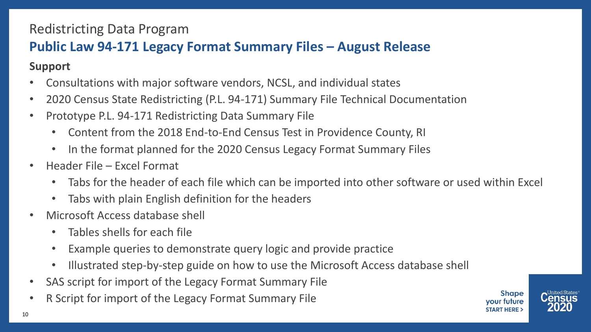## **Public Law 94-171 Legacy Format Summary Files – August Release**

**Support**

- Consultations with major software vendors, NCSL, and individual states
- 2020 Census State Redistricting (P.L. 94-171) Summary File Technical Documentation
- Prototype P.L. 94-171 Redistricting Data Summary File
	- Content from the 2018 End-to-End Census Test in Providence County, RI
	- In the format planned for the 2020 Census Legacy Format Summary Files
- Header File Excel Format
	- Tabs for the header of each file which can be imported into other software or used within Excel
	- Tabs with plain English definition for the headers
- Microsoft Access database shell
	- Tables shells for each file
	- Example queries to demonstrate query logic and provide practice
	- Illustrated step-by-step guide on how to use the Microsoft Access database shell
- SAS script for import of the Legacy Format Summary File
- R Script for import of the Legacy Format Summary File



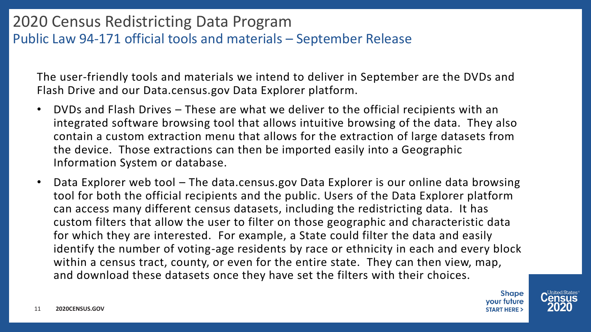## 2020 Census Redistricting Data Program Public Law 94-171 official tools and materials – September Release

The user-friendly tools and materials we intend to deliver in September are the DVDs and Flash Drive and our Data.census.gov Data Explorer platform.

- DVDs and Flash Drives These are what we deliver to the official recipients with an integrated software browsing tool that allows intuitive browsing of the data. They also contain a custom extraction menu that allows for the extraction of large datasets from the device. Those extractions can then be imported easily into a Geographic Information System or database.
- Data Explorer web tool The data.census.gov Data Explorer is our online data browsing tool for both the official recipients and the public. Users of the Data Explorer platform can access many different census datasets, including the redistricting data. It has custom filters that allow the user to filter on those geographic and characteristic data for which they are interested. For example, a State could filter the data and easily identify the number of voting-age residents by race or ethnicity in each and every block within a census tract, county, or even for the entire state. They can then view, map, and download these datasets once they have set the filters with their choices.



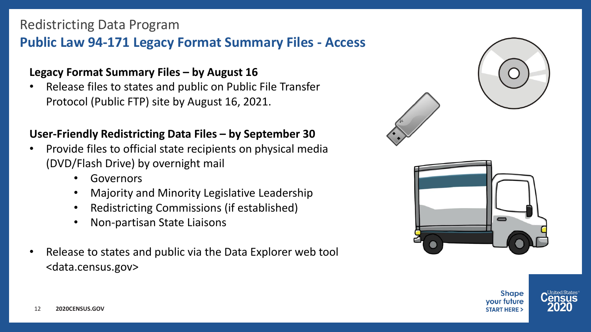## **Public Law 94-171 Legacy Format Summary Files - Access**

#### **Legacy Format Summary Files – by August 16**

• Release files to states and public on Public File Transfer Protocol (Public FTP) site by August 16, 2021.

#### **User-Friendly Redistricting Data Files – by September 30**

- Provide files to official state recipients on physical media (DVD/Flash Drive) by overnight mail
	- Governors
	- Majority and Minority Legislative Leadership
	- Redistricting Commissions (if established)
	- Non-partisan State Liaisons
- Release to states and public via the Data Explorer web tool <data.census.gov>



**Shape** vour future **START HERE:** 

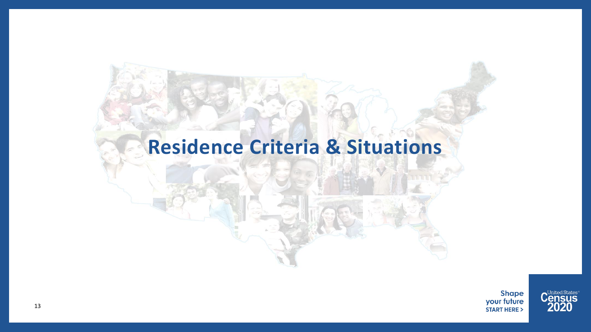## **Residence Criteria & Situations**



C<sup>United States®</sup><br>2020

13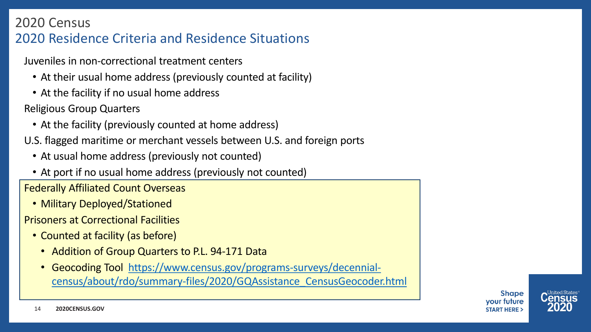## 2020 Census 2020 Residence Criteria and Residence Situations

Juveniles in non-correctional treatment centers

- At their usual home address (previously counted at facility)
- At the facility if no usual home address

Religious Group Quarters

- At the facility (previously counted at home address)
- U.S. flagged maritime or merchant vessels between U.S. and foreign ports
	- At usual home address (previously not counted)
	- At port if no usual home address (previously not counted)

Federally Affiliated Count Overseas

• Military Deployed/Stationed

Prisoners at Correctional Facilities

- Counted at facility (as before)
	- Addition of Group Quarters to P.L. 94-171 Data
	- [Geocoding Tool https://www.census.gov/programs-surveys/decennial](https://www.census.gov/programs-surveys/decennial-census/about/rdo/summary-files/2020/GQAssistance_CensusGeocoder.html)census/about/rdo/summary-files/2020/GQAssistance\_CensusGeocoder.html

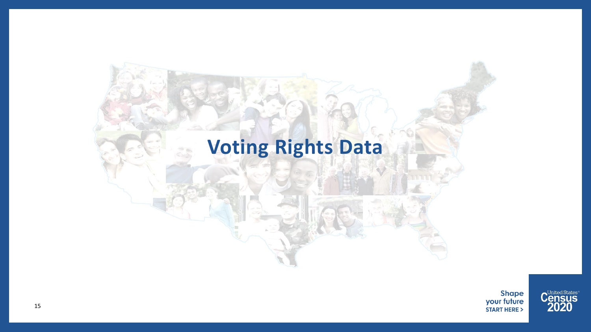## **Voting Rights Data**



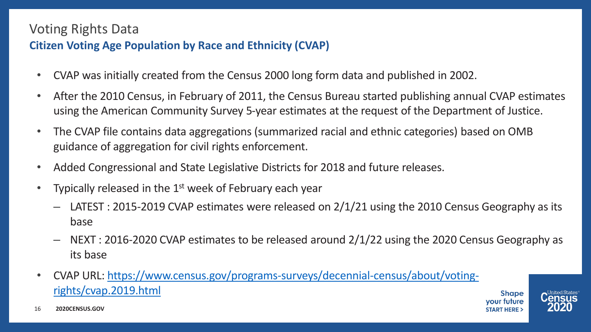## Voting Rights Data

#### **Citizen Voting Age Population by Race and Ethnicity (CVAP)**

- CVAP was initially created from the Census 2000 long form data and published in 2002.
- After the 2010 Census, in February of 2011, the Census Bureau started publishing annual CVAP estimates using the American Community Survey 5-year estimates at the request of the Department of Justice.
- The CVAP file contains data aggregations (summarized racial and ethnic categories) based on OMB guidance of aggregation for civil rights enforcement.
- Added Congressional and State Legislative Districts for 2018 and future releases.
- Typically released in the  $1<sup>st</sup>$  week of February each year
	- LATEST : 2015-2019 CVAP estimates were released on 2/1/21 using the 2010 Census Geography as its base
	- ‒ NEXT : 2016-2020 CVAP estimates to be released around 2/1/22 using the 2020 Census Geography as its base
- [CVAP URL: https://www.census.gov/programs-surveys/decennial-census/about/voting](https://www.census.gov/programs-surveys/decennial-census/about/voting-rights/cvap.2019.html)rights/cvap.2019.html





**2020CENSUS.GOV** 16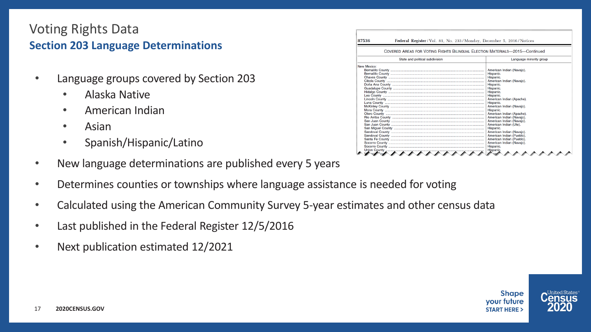#### Voting Rights Data **Section 203 Language Determinations**

- Language groups covered by Section 203
	- Alaska Native
	- American Indian
	- Asian
	- Spanish/Hispanic/Latino
- New language determinations are published every 5 years
- Determines counties or townships where language assistance is needed for voting
- Calculated using the American Community Survey 5-year estimates and other census data
- Last published in the Federal Register 12/5/2016
- Next publication estimated 12/2021

| Federal Register/Vol. 81, No. 233/Monday, December 5, 2016/Notices<br>87536 |                                                                             |  |  |  |  |  |  |  |  |  |
|-----------------------------------------------------------------------------|-----------------------------------------------------------------------------|--|--|--|--|--|--|--|--|--|
|                                                                             | COVERED AREAS FOR VOTING RIGHTS BILINGUAL ELECTION MATERIALS-2015-Continued |  |  |  |  |  |  |  |  |  |
| State and political subdivision                                             | Language minority group                                                     |  |  |  |  |  |  |  |  |  |
| <b>New Mexico:</b>                                                          | American Indian (Navaio).                                                   |  |  |  |  |  |  |  |  |  |
|                                                                             | Hispanic.                                                                   |  |  |  |  |  |  |  |  |  |
|                                                                             | Hispanic.                                                                   |  |  |  |  |  |  |  |  |  |
|                                                                             | American Indian (Navajo).                                                   |  |  |  |  |  |  |  |  |  |
|                                                                             | Hispanic.                                                                   |  |  |  |  |  |  |  |  |  |
|                                                                             | Hispanic.                                                                   |  |  |  |  |  |  |  |  |  |
|                                                                             | Hispanic.<br>Hispanic.<br>American Indian (Apache).                         |  |  |  |  |  |  |  |  |  |
|                                                                             | Hispanic.<br>American Indian (Navajo).                                      |  |  |  |  |  |  |  |  |  |
|                                                                             | Hispanic.                                                                   |  |  |  |  |  |  |  |  |  |
|                                                                             | American Indian (Apache).                                                   |  |  |  |  |  |  |  |  |  |
|                                                                             | American Indian (Navaio).                                                   |  |  |  |  |  |  |  |  |  |
|                                                                             | American Indian (Navajo).                                                   |  |  |  |  |  |  |  |  |  |
|                                                                             | American Indian (Ute).                                                      |  |  |  |  |  |  |  |  |  |
|                                                                             | Hispanic.                                                                   |  |  |  |  |  |  |  |  |  |
|                                                                             | American Indian (Navajo).                                                   |  |  |  |  |  |  |  |  |  |
|                                                                             | American Indian (Pueblo).                                                   |  |  |  |  |  |  |  |  |  |
|                                                                             | American Indian (Pueblo).                                                   |  |  |  |  |  |  |  |  |  |
|                                                                             | American Indian (Navajo).                                                   |  |  |  |  |  |  |  |  |  |
|                                                                             | Hispanic.                                                                   |  |  |  |  |  |  |  |  |  |
|                                                                             | Hispanic.                                                                   |  |  |  |  |  |  |  |  |  |



 $\blacktriangle$ United States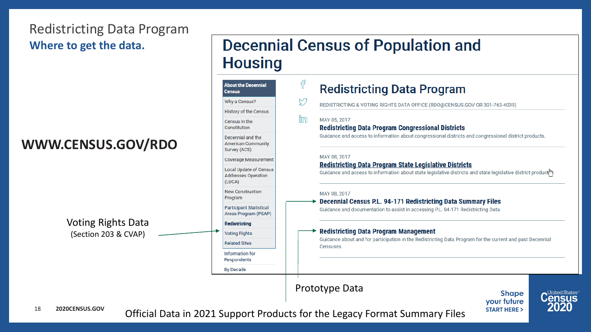## Redistricting Data Program **Where to get the data.**

## **WWW.CENSUS.GO**

## **Decennial Census of Population and Housing**

|                           | <b>About the Decennial</b><br><b>Census</b>                           | f  | <b>Redistricting Data Program</b>                                                                                                                                                                                                                                                                                                                                                                                                                      |  |  |  |  |  |
|---------------------------|-----------------------------------------------------------------------|----|--------------------------------------------------------------------------------------------------------------------------------------------------------------------------------------------------------------------------------------------------------------------------------------------------------------------------------------------------------------------------------------------------------------------------------------------------------|--|--|--|--|--|
|                           | Why a Census?                                                         | Ŋ  | REDISTRICTING & VOTING RIGHTS DATA OFFICE (RDO@CENSUS.GOV OR 301-763-4039)                                                                                                                                                                                                                                                                                                                                                                             |  |  |  |  |  |
|                           | History of the Census                                                 |    |                                                                                                                                                                                                                                                                                                                                                                                                                                                        |  |  |  |  |  |
|                           | Census in the<br>Constitution                                         | ŭm | MAY 05, 2017<br><b>Redistricting Data Program Congressional Districts</b>                                                                                                                                                                                                                                                                                                                                                                              |  |  |  |  |  |
| <b>CENSUS.GOV/RDO</b>     | Decennial and the<br><b>American Community</b><br>Survey (ACS)        |    | Guidance and access to information about congressional districts and congressional district products.                                                                                                                                                                                                                                                                                                                                                  |  |  |  |  |  |
|                           | <b>Coverage Measurement</b>                                           |    | MAY 08, 2017                                                                                                                                                                                                                                                                                                                                                                                                                                           |  |  |  |  |  |
|                           | <b>Local Update of Census</b><br><b>Addresses Operation</b><br>(LUCA) |    | <b>Redistricting Data Program State Legislative Districts</b><br>Guidance and access to information about state legislative districts and state legislative district producting                                                                                                                                                                                                                                                                        |  |  |  |  |  |
|                           | <b>New Construction</b><br>Program                                    |    | MAY 08, 2017<br><b>Decennial Census P.L. 94-171 Redistricting Data Summary Files</b>                                                                                                                                                                                                                                                                                                                                                                   |  |  |  |  |  |
|                           | <b>Participant Statistical</b><br>Areas Program (PSAP)                |    | Guidance and documentation to assist in accessing P.L. 94-171 Redistricting Data                                                                                                                                                                                                                                                                                                                                                                       |  |  |  |  |  |
| <b>Voting Rights Data</b> | <b>Redistricting</b>                                                  |    | <b>Redistricting Data Program Management</b><br>Guidance about and for participation in the Redistricting Data Program for the current and past Decennial<br>Censuses.                                                                                                                                                                                                                                                                                 |  |  |  |  |  |
| (Section 203 & CVAP)      | <b>Voting Rights</b>                                                  |    |                                                                                                                                                                                                                                                                                                                                                                                                                                                        |  |  |  |  |  |
|                           | <b>Related Sites</b>                                                  |    |                                                                                                                                                                                                                                                                                                                                                                                                                                                        |  |  |  |  |  |
|                           | Information for<br>Respondents                                        |    |                                                                                                                                                                                                                                                                                                                                                                                                                                                        |  |  |  |  |  |
|                           | <b>By Decade</b>                                                      |    |                                                                                                                                                                                                                                                                                                                                                                                                                                                        |  |  |  |  |  |
| <b>OCENSUS.GOV</b>        |                                                                       |    | Prototype Data<br><b>C<sup>United States®</sup></b><br><b>Shape</b><br>your future<br>2020<br><b>START HERE &gt;</b><br>$\bigcap_{i=1}^{n}$ $\bigcup_{i=1}^{n}$ $\bigcap_{i=1}^{n}$ $\bigcap_{i=1}^{n}$ $\bigcap_{i=1}^{n}$ $\bigcap_{i=1}^{n}$ $\bigcap_{i=1}^{n}$ $\bigcap_{i=1}^{n}$ $\bigcap_{i=1}^{n}$ $\bigcap_{i=1}^{n}$ $\bigcap_{i=1}^{n}$ $\bigcap_{i=1}^{n}$ $\bigcap_{i=1}^{n}$ $\bigcap_{i=1}^{n}$ $\bigcap_{i=1}^{n}$ $\bigcap_{i=1}^{n$ |  |  |  |  |  |



Official Data in 2021 Support Products for the Legacy Format Summary Files